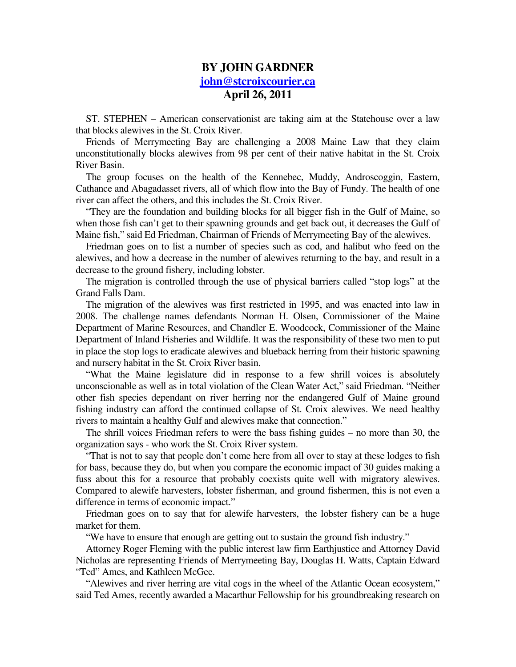## **BY JOHN GARDNER john@stcroixcourier.ca April 26, 2011**

ST. STEPHEN – American conservationist are taking aim at the Statehouse over a law that blocks alewives in the St. Croix River.

Friends of Merrymeeting Bay are challenging a 2008 Maine Law that they claim unconstitutionally blocks alewives from 98 per cent of their native habitat in the St. Croix River Basin.

The group focuses on the health of the Kennebec, Muddy, Androscoggin, Eastern, Cathance and Abagadasset rivers, all of which flow into the Bay of Fundy. The health of one river can affect the others, and this includes the St. Croix River.

"They are the foundation and building blocks for all bigger fish in the Gulf of Maine, so when those fish can't get to their spawning grounds and get back out, it decreases the Gulf of Maine fish," said Ed Friedman, Chairman of Friends of Merrymeeting Bay of the alewives.

Friedman goes on to list a number of species such as cod, and halibut who feed on the alewives, and how a decrease in the number of alewives returning to the bay, and result in a decrease to the ground fishery, including lobster.

The migration is controlled through the use of physical barriers called "stop logs" at the Grand Falls Dam.

The migration of the alewives was first restricted in 1995, and was enacted into law in 2008. The challenge names defendants Norman H. Olsen, Commissioner of the Maine Department of Marine Resources, and Chandler E. Woodcock, Commissioner of the Maine Department of Inland Fisheries and Wildlife. It was the responsibility of these two men to put in place the stop logs to eradicate alewives and blueback herring from their historic spawning and nursery habitat in the St. Croix River basin.

"What the Maine legislature did in response to a few shrill voices is absolutely unconscionable as well as in total violation of the Clean Water Act," said Friedman. "Neither other fish species dependant on river herring nor the endangered Gulf of Maine ground fishing industry can afford the continued collapse of St. Croix alewives. We need healthy rivers to maintain a healthy Gulf and alewives make that connection."

The shrill voices Friedman refers to were the bass fishing guides – no more than 30, the organization says - who work the St. Croix River system.

"That is not to say that people don't come here from all over to stay at these lodges to fish for bass, because they do, but when you compare the economic impact of 30 guides making a fuss about this for a resource that probably coexists quite well with migratory alewives. Compared to alewife harvesters, lobster fisherman, and ground fishermen, this is not even a difference in terms of economic impact."

Friedman goes on to say that for alewife harvesters, the lobster fishery can be a huge market for them.

"We have to ensure that enough are getting out to sustain the ground fish industry."

Attorney Roger Fleming with the public interest law firm Earthjustice and Attorney David Nicholas are representing Friends of Merrymeeting Bay, Douglas H. Watts, Captain Edward "Ted" Ames, and Kathleen McGee.

"Alewives and river herring are vital cogs in the wheel of the Atlantic Ocean ecosystem," said Ted Ames, recently awarded a Macarthur Fellowship for his groundbreaking research on